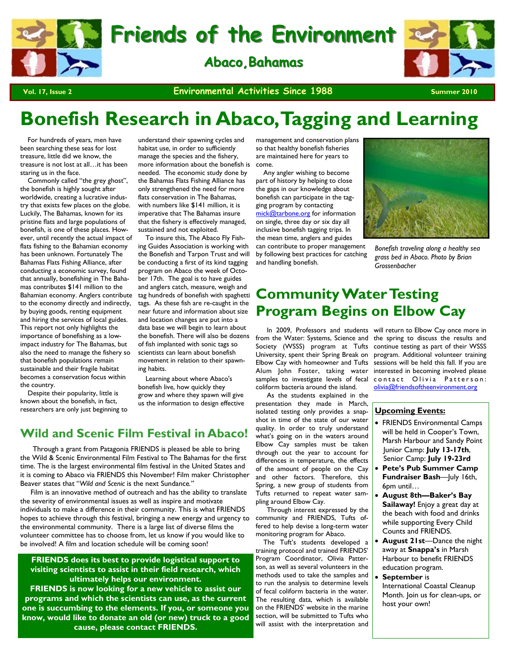

**Friends of the Environment Friends of the Environment**

**Abaco, Bahamas** 



**Vol. 17, Issue 2 Christian Summer 2010 Environmental Activities Since 1988** 

# **Bonefish Research in Abaco, Tagging and Learning**

 For hundreds of years, men have been searching these seas for lost treasure, little did we know, the treasure is not lost at all…it has been staring us in the face.

 Commonly called "the grey ghost", the bonefish is highly sought after worldwide, creating a lucrative industry that exists few places on the globe. Luckily, The Bahamas, known for its pristine flats and large populations of bonefish, is one of these places. However, until recently the actual impact of flats fishing to the Bahamian economy has been unknown. Fortunately The Bahamas Flats Fishing Alliance, after conducting a economic survey, found that annually, bonefishing in The Bahamas contributes \$141 million to the Bahamian economy. Anglers contribute to the economy directly and indirectly, by buying goods, renting equipment and hiring the services of local guides. This report not only highlights the importance of bonefishing as a lowimpact industry for The Bahamas, but also the need to manage the fishery so that bonefish populations remain sustainable and their fragile habitat becomes a conservation focus within the country.

 Despite their popularity, little is known about the bonefish, in fact, researchers are only just beginning to

understand their spawning cycles and habitat use, in order to sufficiently manage the species and the fishery, more information about the bonefish is needed. The economic study done by the Bahamas Flats Fishing Alliance has only strengthened the need for more flats conservation in The Bahamas, with numbers like \$141 million, it is imperative that The Bahamas insure that the fishery is effectively managed, sustained and not exploited.

 To insure this, The Abaco Fly Fishing Guides Association is working with the Bonefish and Tarpon Trust and will be conducting a first of its kind tagging program on Abaco the week of October 17th. The goal is to have guides and anglers catch, measure, weigh and tag hundreds of bonefish with spaghetti tags. As these fish are re-caught in the near future and information about size and location changes are put into a data base we will begin to learn about the bonefish. There will also be dozens of fish implanted with sonic tags so scientists can learn about bonefish movement in relation to their spawning habits.

 Learning about where Abaco's bonefish live, how quickly they grow and where they spawn will give us the information to design effective

### **Wild and Scenic Film Festival in Abaco!**

 Through a grant from Patagonia FRIENDS is pleased be able to bring the Wild & Scenic Environmental Film Festival to The Bahamas for the first time. The is the largest environmental film festival in the United States and it is coming to Abaco via FRIENDS this November! Film maker Christopher Beaver states that "*Wild and Scenic* is the next Sundance*."*

 Film is an innovative method of outreach and has the ability to translate the severity of environmental issues as well as inspire and motivate individuals to make a difference in their community. This is what FRIENDS hopes to achieve through this festival, bringing a new energy and urgency to the environmental community. There is a large list of diverse films the volunteer committee has to choose from, let us know if you would like to be involved! A film and location schedule will be coming soon!

#### **FRIENDS does its best to provide logistical support to visiting scientists to assist in their field research, which ultimately helps our environment.**

**FRIENDS is now looking for a new vehicle to assist our programs and which the scientists can use, as the current one is succumbing to the elements. If you, or someone you know, would like to donate an old (or new) truck to a good cause, please contact FRIENDS.** 

management and conservation plans so that healthy bonefish fisheries are maintained here for years to come.

 Any angler wishing to become part of history by helping to close the gaps in our knowledge about bonefish can participate in the tagging program by contacting mick@tarbone.org for information on single, three day or six day all inclusive bonefish tagging trips. In the mean time, anglers and guides

can contribute to proper management by following best practices for catching and handling bonefish.



*Bonefish traveling along a healthy sea grass bed in Abaco. Photo by Brian Grossenbacher* 

# **Community Water Testing Program Begins on Elbow Cay**

coliform bacteria around the island.

 As the students explained in the presentation they made in March, isolated testing only provides a snapshot in time of the state of our water quality. In order to truly understand what's going on in the waters around Elbow Cay samples must be taken through out the year to account for differences in temperature, the effects of the amount of people on the Cay and other factors. Therefore, this Spring, a new group of students from Tufts returned to repeat water sampling around Elbow Cay.

 Through interest expressed by the community and FRIENDS, Tufts offered to help devise a long-term water monitoring program for Abaco.

 The Tuft's students developed a training protocol and trained FRIENDS' Program Coordinator, Olivia Patterson, as well as several volunteers in the methods used to take the samples and to run the analysis to determine levels of fecal coliform bacteria in the water. The resulting data, which is available on the FRIENDS' website in the marine section, will be submitted to Tufts who will assist with the interpretation and

 In 2009, Professors and students will return to Elbow Cay once more in from the Water: Systems, Science and the spring to discuss the results and Society (WSSS) program at Tufts continue testing as part of their WSSS University, spent their Spring Break on program. Additional volunteer training Elbow Cay with homeowner and Tufts sessions will be held this fall. If you are Alum John Foster, taking water interested in becoming involved please samples to investigate levels of fecal contact Olivia Patterson: olivia@friendsoftheenvironment.org

#### **Upcoming Events:**

- FRIENDS Environmental Camps will be held in Cooper's Town, Marsh Harbour and Sandy Point Junior Camp: **July 13-17th**, Senior Camp: **July 19-23rd**
- **Pete's Pub Summer Camp Fundraiser Bash**—July 16th, 6pm until…
- **August 8th—Baker's Bay Sailaway!** Enjoy a great day at the beach with food and drinks while supporting Every Child Counts and FRIENDS.
- **August 21st**—Dance the night away at **Snappa's** in Marsh Harbour to benefit FRIENDS education program.
- **September** is International Coastal Cleanup Month. Join us for clean-ups, or host your own!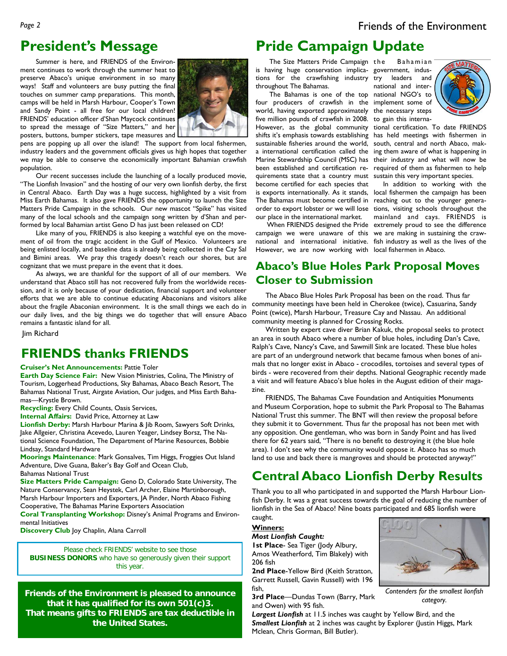# **President's Message**

 Summer is here, and FRIENDS of the Environment continues to work through the summer heat to preserve Abaco's unique environment in so many ways! Staff and volunteers are busy putting the final touches on summer camp preparations. This month, camps will be held in Marsh Harbour, Cooper's Town and Sandy Point - all free for our local children! FRIENDS' education officer d'Shan Maycock continues to spread the message of "Size Matters," and her posters, buttons, bumper stickers, tape measures and



pens are popping up all over the island! The support from local fishermen, industry leaders and the government officials gives us high hopes that together we may be able to conserve the economically important Bahamian crawfish population.

 Our recent successes include the launching of a locally produced movie, "The Lionfish Invasion" and the hosting of our very own lionfish derby, the first in Central Abaco. Earth Day was a huge success, highlighted by a visit from Miss Earth Bahamas. It also gave FRIENDS the opportunity to launch the Size Matters Pride Campaign in the schools. Our new mascot "Spike" has visited many of the local schools and the campaign song written by d'Shan and performed by local Bahamian artist Geno D has just been released on CD!

 Like many of you, FRIENDS is also keeping a watchful eye on the movement of oil from the tragic accident in the Gulf of Mexico. Volunteers are being enlisted locally, and baseline data is already being collected in the Cay Sal and Bimini areas. We pray this tragedy doesn't reach our shores, but are cognizant that we must prepare in the event that it does.

 As always, we are thankful for the support of all of our members. We understand that Abaco still has not recovered fully from the worldwide recession, and it is only because of your dedication, financial support and volunteer efforts that we are able to continue educating Abaconians and visitors alike about the fragile Abaconian environment. It is the small things we each do in our daily lives, and the big things we do together that will ensure Abaco remains a fantastic island for all.

Jim Richard

# **FRIENDS thanks FRIENDS**

#### **Cruiser's Net Announcements:** Pattie Toler

**Earth Day Science Fair:** New Vision Ministries, Colina, The Ministry of Tourism, Loggerhead Productions, Sky Bahamas, Abaco Beach Resort, The Bahamas National Trust, Airgate Aviation, Our judges, and Miss Earth Bahamas—Krystle Brown.

**Recycling:** Every Child Counts, Oasis Services,

**Internal Affairs:** David Price, Attorney at Law

**Lionfish Derby:** Marsh Harbour Marina & Jib Room, Sawyers Soft Drinks, Jake Allgeier, Christina Acevedo, Lauren Yeager, Lindsey Borsz, The National Science Foundation, The Department of Marine Resources, Bobbie Lindsay, Standard Hardware

**Moorings Maintenance**: Mark Gonsalves, Tim Higgs, Froggies Out Island Adventure, Dive Guana, Baker's Bay Golf and Ocean Club, Bahamas National Trust

**Size Matters Pride Campaign:** Geno D, Colorado State University, The Nature Conservancy, Sean Heystek, Carl Archer, Elaine Martinborough, Marsh Harbour Importers and Exporters, JA Pinder, North Abaco Fishing Cooperative, The Bahamas Marine Exporters Association

**Coral Transplanting Workshop:** Disney's Animal Programs and Environmental Initiatives

**Discovery Club** Joy Chaplin, Alana Carroll

Please check FRIENDS' website to see those **BUSINESS DONORS** who have so generously given their support this year.

**Friends of the Environment is pleased to announce that it has qualified for its own 501(c)3. That means gifts to FRIENDS are tax deductible in the United States.** 

# **Pride Campaign Update**

The Size Matters Pride Campaign the is having huge conservation implica-government, industions for the crawfishing industry throughout The Bahamas.

 The Bahamas is one of the top national NGO's to four producers of crawfish in the implement some of world, having exported approximately the necessary steps five million pounds of crawfish in 2008. to gain this interna-However, as the global community tional certification. To date FRIENDS sustainable fisheries around the world, south, central and north Abaco, makquirements state that a country must sustain this very important species. become certified for each species that is exports internationally. As it stands, local fishermen the campaign has been The Bahamas must become certified in reaching out to the younger generaorder to export lobster or we will lose tions, visiting schools throughout the

 When FRIENDS designed the Pride extremely proud to see the difference campaign we were unaware of this we are making in sustaining the crawnational and international initiative. fish industry as well as the lives of the However, we are now working with local fishermen in Abaco.

Bahamian leaders and national and inter-



shifts it's emphasis towards establishing has held meetings with fishermen in a international certification called the ing them aware of what is happening in Marine Stewardship Council (MSC) has their industry and what will now be been established and certification re-required of them as fishermen to help

our place in the international market. mainland and cays. FRIENDS is In addition to working with the

## **Abaco's Blue Holes Park Proposal Moves Closer to Submission**

 The Abaco Blue Holes Park Proposal has been on the road. Thus far community meetings have been held in Cherokee (twice), Casuarina, Sandy Point (twice), Marsh Harbour, Treasure Cay and Nassau. An additional community meeting is planned for Crossing Rocks.

 Written by expert cave diver Brian Kakuk, the proposal seeks to protect an area in south Abaco where a number of blue holes, including Dan's Cave, Ralph's Cave, Nancy's Cave, and Sawmill Sink are located. These blue holes are part of an underground network that became famous when bones of animals that no longer exist in Abaco - crocodiles, tortoises and several types of birds - were recovered from their depths. National Geographic recently made a visit and will feature Abaco's blue holes in the August edition of their magazine.

 FRIENDS, The Bahamas Cave Foundation and Antiquities Monuments and Museum Corporation, hope to submit the Park Proposal to The Bahamas National Trust this summer. The BNT will then review the proposal before they submit it to Government. Thus far the proposal has not been met with any opposition. One gentleman, who was born in Sandy Point and has lived there for 62 years said, "There is no benefit to destroying it (the blue hole area). I don't see why the community would oppose it. Abaco has so much land to use and back there is mangroves and should be protected anyway!"

# **Central Abaco Lionfish Derby Results**

Thank you to all who participated in and supported the Marsh Harbour Lionfish Derby. It was a great success towards the goal of reducing the number of lionfish in the Sea of Abaco! Nine boats participated and 685 lionfish were caught.

# **Winners:**

*Most Lionfish Caught:* 

**1st Place**- Sea Tiger (Jody Albury, Amos Weatherford, Tim Blakely) with 206 fish

**2nd Place**-Yellow Bird (Keith Stratton, Garrett Russell, Gavin Russell) with 196 fish,

**3rd Place**—Dundas Town (Barry, Mark and Owen) with 95 fish.



*Contenders for the smallest lionfish category.* 

*Largest Lionfish* at 11.5 inches was caught by Yellow Bird, and the *Smallest Lionfish* at 2 inches was caught by Explorer (Justin Higgs, Mark Mclean, Chris Gorman, Bill Butler).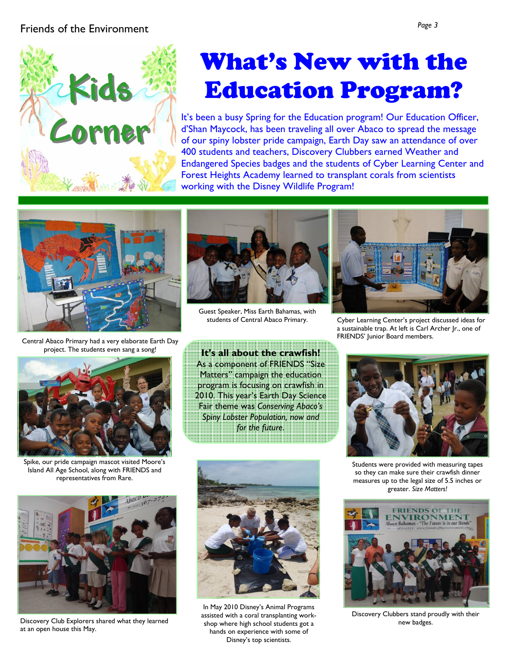# Friends of the Environment *Page 3*



# What's New with the Education Program?

It's been a busy Spring for the Education program! Our Education Officer, d'Shan Maycock, has been traveling all over Abaco to spread the message of our spiny lobster pride campaign, Earth Day saw an attendance of over 400 students and teachers, Discovery Clubbers earned Weather and Endangered Species badges and the students of Cyber Learning Center and Forest Heights Academy learned to transplant corals from scientists working with the Disney Wildlife Program!



Central Abaco Primary had a very elaborate Earth Day project. The students even sang a song!



Guest Speaker, Miss Earth Bahamas, with students of Central Abaco Primary.



Cyber Learning Center's project discussed ideas for a sustainable trap. At left is Carl Archer Jr., one of FRIENDS' Junior Board members.

Spike, our pride campaign mascot visited Moore's Island All Age School, along with FRIENDS and representatives from Rare.

**It's all about the crawfish!**  As a component of FRIENDS "Size Matters" campaign the education program is focusing on crawfish in 2010. This year's Earth Day Science Fair theme was *Conserving Abaco's Spiny Lobster Population, now and for the future*.



Discovery Club Explorers shared what they learned at an open house this May.



In May 2010 Disney's Animal Programs assisted with a coral transplanting workshop where high school students got a hands on experience with some of Disney's top scientists.



Students were provided with measuring tapes so they can make sure their crawfish dinner measures up to the legal size of 5.5 inches or greater. *Size Matters!*



Discovery Clubbers stand proudly with their new badges.